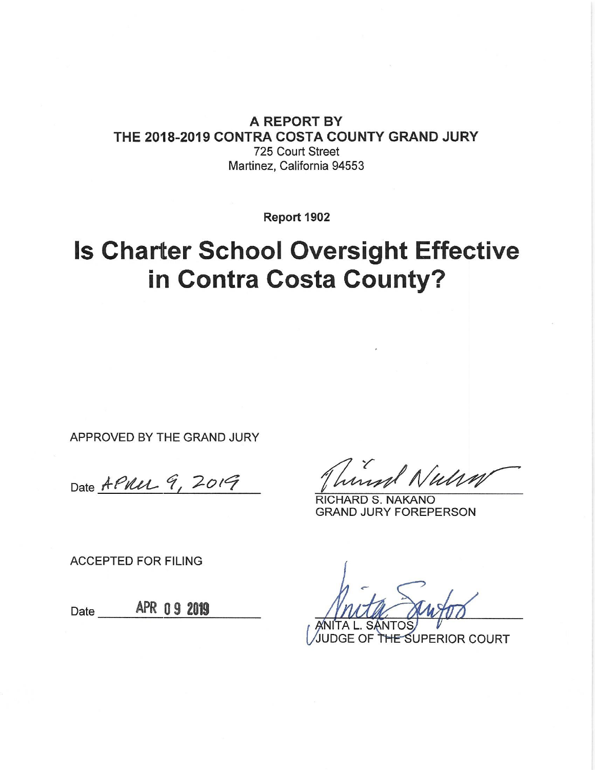A REPORT BY THE 2018-2019 CONTRA COSTA COUNTY GRAND JURY 725 Court Street Martinez, California 94553

Report 1902

**Is Charter School Oversight Effective** in Contra Costa County?

APPROVED BY THE GRAND JURY

Date APULL 9, 2019

humand Nulsa

**RICHARD S. NAKANO GRAND JURY FOREPERSON** 

**ACCEPTED FOR FILING** 

Date \_\_\_\_\_\_ APR 09 2019

**IE SUPERIOR COURT**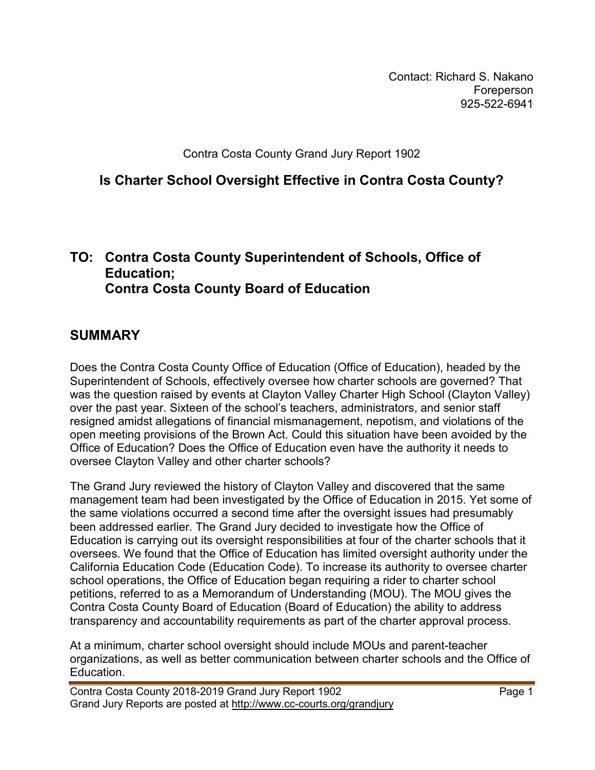Contact: Richard S. Nakano Foreperson 925-522-6941

Contra Costa County Grand Jury Report 1902

**Is Charter School Oversight Effective in Contra Costa County?**

#### **TO: Contra Costa County Superintendent of Schools, Office of Education; Contra Costa County Board of Education**

## **SUMMARY**

Does the Contra Costa County Office of Education (Office of Education), headed by the Superintendent of Schools, effectively oversee how charter schools are governed? That was the question raised by events at Clayton Valley Charter High School (Clayton Valley) over the past year. Sixteen of the school's teachers, administrators, and senior staff resigned amidst allegations of financial mismanagement, nepotism, and violations of the open meeting provisions of the Brown Act. Could this situation have been avoided by the Office of Education? Does the Office of Education even have the authority it needs to oversee Clayton Valley and other charter schools?

The Grand Jury reviewed the history of Clayton Valley and discovered that the same management team had been investigated by the Office of Education in 2015. Yet some of the same violations occurred a second time after the oversight issues had presumably been addressed earlier. The Grand Jury decided to investigate how the Office of Education is carrying out its oversight responsibilities at four of the charter schools that it oversees. We found that the Office of Education has limited oversight authority under the California Education Code (Education Code). To increase its authority to oversee charter school operations, the Office of Education began requiring a rider to charter school petitions, referred to as a Memorandum of Understanding (MOU). The MOU gives the Contra Costa County Board of Education (Board of Education) the ability to address transparency and accountability requirements as part of the charter approval process.

At a minimum, charter school oversight should include MOUs and parent-teacher organizations, as well as better communication between charter schools and the Office of Education.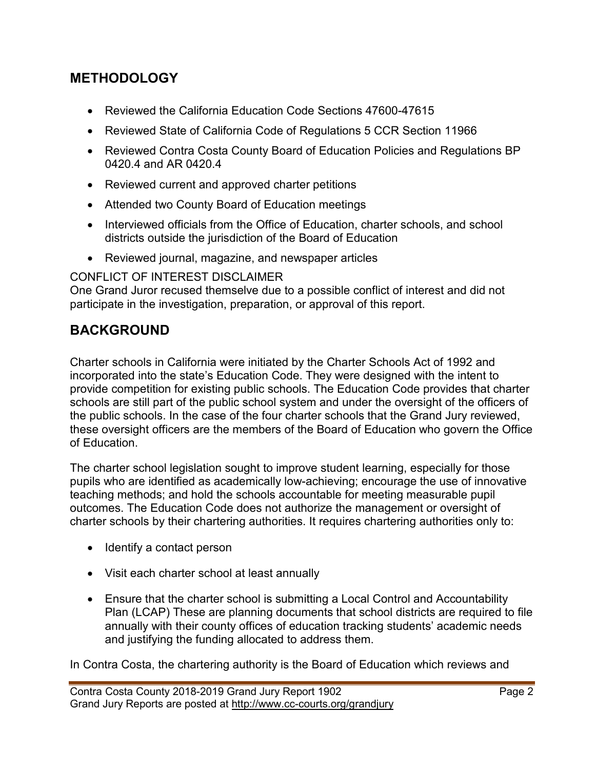#### **METHODOLOGY**

- Reviewed the California Education Code Sections 47600-47615
- Reviewed State of California Code of Regulations 5 CCR Section 11966
- Reviewed Contra Costa County Board of Education Policies and Regulations BP 0420.4 and AR 0420.4
- Reviewed current and approved charter petitions
- Attended two County Board of Education meetings
- Interviewed officials from the Office of Education, charter schools, and school districts outside the jurisdiction of the Board of Education
- Reviewed journal, magazine, and newspaper articles

#### CONFLICT OF INTEREST DISCLAIMER

One Grand Juror recused themselve due to a possible conflict of interest and did not participate in the investigation, preparation, or approval of this report.

## **BACKGROUND**

Charter schools in California were initiated by the Charter Schools Act of 1992 and incorporated into the state's Education Code. They were designed with the intent to provide competition for existing public schools. The Education Code provides that charter schools are still part of the public school system and under the oversight of the officers of the public schools. In the case of the four charter schools that the Grand Jury reviewed, these oversight officers are the members of the Board of Education who govern the Office of Education.

The charter school legislation sought to improve student learning, especially for those pupils who are identified as academically low-achieving; encourage the use of innovative teaching methods; and hold the schools accountable for meeting measurable pupil outcomes. The Education Code does not authorize the management or oversight of charter schools by their chartering authorities. It requires chartering authorities only to:

- Identify a contact person
- Visit each charter school at least annually
- Ensure that the charter school is submitting a Local Control and Accountability Plan (LCAP) These are planning documents that school districts are required to file annually with their county offices of education tracking students' academic needs and justifying the funding allocated to address them.

In Contra Costa, the chartering authority is the Board of Education which reviews and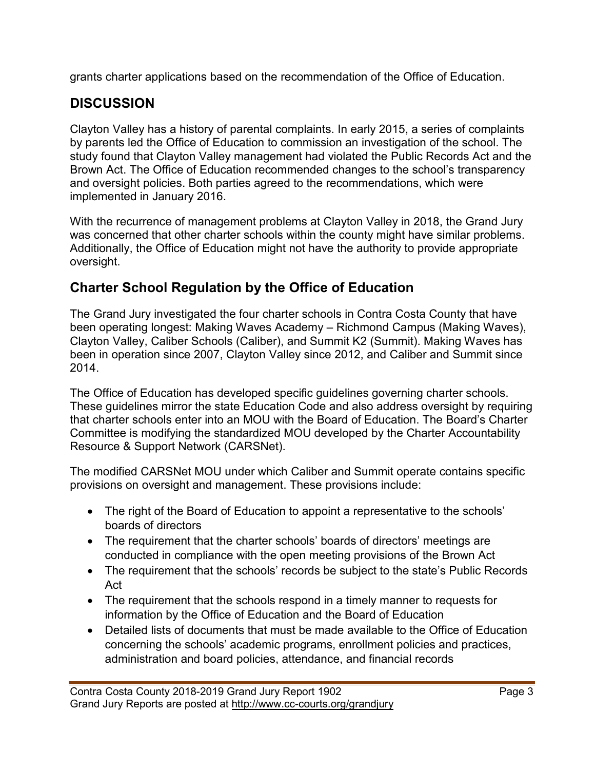grants charter applications based on the recommendation of the Office of Education.

# **DISCUSSION**

Clayton Valley has a history of parental complaints. In early 2015, a series of complaints by parents led the Office of Education to commission an investigation of the school. The study found that Clayton Valley management had violated the Public Records Act and the Brown Act. The Office of Education recommended changes to the school's transparency and oversight policies. Both parties agreed to the recommendations, which were implemented in January 2016.

With the recurrence of management problems at Clayton Valley in 2018, the Grand Jury was concerned that other charter schools within the county might have similar problems. Additionally, the Office of Education might not have the authority to provide appropriate oversight.

## **Charter School Regulation by the Office of Education**

The Grand Jury investigated the four charter schools in Contra Costa County that have been operating longest: Making Waves Academy – Richmond Campus (Making Waves), Clayton Valley, Caliber Schools (Caliber), and Summit K2 (Summit). Making Waves has been in operation since 2007, Clayton Valley since 2012, and Caliber and Summit since 2014.

The Office of Education has developed specific guidelines governing charter schools. These guidelines mirror the state Education Code and also address oversight by requiring that charter schools enter into an MOU with the Board of Education. The Board's Charter Committee is modifying the standardized MOU developed by the Charter Accountability Resource & Support Network (CARSNet).

The modified CARSNet MOU under which Caliber and Summit operate contains specific provisions on oversight and management. These provisions include:

- The right of the Board of Education to appoint a representative to the schools' boards of directors
- The requirement that the charter schools' boards of directors' meetings are conducted in compliance with the open meeting provisions of the Brown Act
- The requirement that the schools' records be subject to the state's Public Records Act
- The requirement that the schools respond in a timely manner to requests for information by the Office of Education and the Board of Education
- Detailed lists of documents that must be made available to the Office of Education concerning the schools' academic programs, enrollment policies and practices, administration and board policies, attendance, and financial records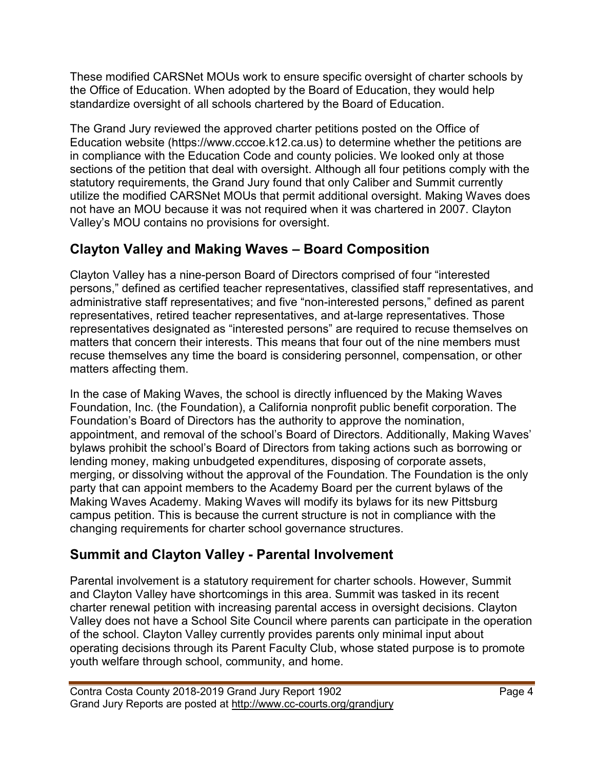These modified CARSNet MOUs work to ensure specific oversight of charter schools by the Office of Education. When adopted by the Board of Education, they would help standardize oversight of all schools chartered by the Board of Education.

The Grand Jury reviewed the approved charter petitions posted on the Office of Education website (https://www.cccoe.k12.ca.us) to determine whether the petitions are in compliance with the Education Code and county policies. We looked only at those sections of the petition that deal with oversight. Although all four petitions comply with the statutory requirements, the Grand Jury found that only Caliber and Summit currently utilize the modified CARSNet MOUs that permit additional oversight. Making Waves does not have an MOU because it was not required when it was chartered in 2007. Clayton Valley's MOU contains no provisions for oversight.

# **Clayton Valley and Making Waves – Board Composition**

Clayton Valley has a nine-person Board of Directors comprised of four "interested persons," defined as certified teacher representatives, classified staff representatives, and administrative staff representatives; and five "non-interested persons," defined as parent representatives, retired teacher representatives, and at-large representatives. Those representatives designated as "interested persons" are required to recuse themselves on matters that concern their interests. This means that four out of the nine members must recuse themselves any time the board is considering personnel, compensation, or other matters affecting them.

In the case of Making Waves, the school is directly influenced by the Making Waves Foundation, Inc. (the Foundation), a California nonprofit public benefit corporation. The Foundation's Board of Directors has the authority to approve the nomination, appointment, and removal of the school's Board of Directors. Additionally, Making Waves' bylaws prohibit the school's Board of Directors from taking actions such as borrowing or lending money, making unbudgeted expenditures, disposing of corporate assets, merging, or dissolving without the approval of the Foundation. The Foundation is the only party that can appoint members to the Academy Board per the current bylaws of the Making Waves Academy. Making Waves will modify its bylaws for its new Pittsburg campus petition. This is because the current structure is not in compliance with the changing requirements for charter school governance structures.

# **Summit and Clayton Valley - Parental Involvement**

Parental involvement is a statutory requirement for charter schools. However, Summit and Clayton Valley have shortcomings in this area. Summit was tasked in its recent charter renewal petition with increasing parental access in oversight decisions. Clayton Valley does not have a School Site Council where parents can participate in the operation of the school. Clayton Valley currently provides parents only minimal input about operating decisions through its Parent Faculty Club, whose stated purpose is to promote youth welfare through school, community, and home.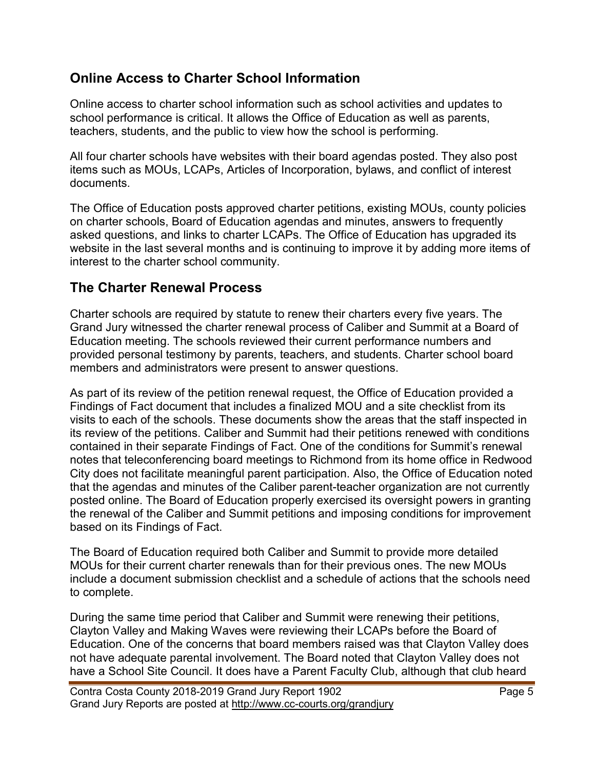#### **Online Access to Charter School Information**

Online access to charter school information such as school activities and updates to school performance is critical. It allows the Office of Education as well as parents, teachers, students, and the public to view how the school is performing.

All four charter schools have websites with their board agendas posted. They also post items such as MOUs, LCAPs, Articles of Incorporation, bylaws, and conflict of interest documents.

The Office of Education posts approved charter petitions, existing MOUs, county policies on charter schools, Board of Education agendas and minutes, answers to frequently asked questions, and links to charter LCAPs. The Office of Education has upgraded its website in the last several months and is continuing to improve it by adding more items of interest to the charter school community.

## **The Charter Renewal Process**

Charter schools are required by statute to renew their charters every five years. The Grand Jury witnessed the charter renewal process of Caliber and Summit at a Board of Education meeting. The schools reviewed their current performance numbers and provided personal testimony by parents, teachers, and students. Charter school board members and administrators were present to answer questions.

As part of its review of the petition renewal request, the Office of Education provided a Findings of Fact document that includes a finalized MOU and a site checklist from its visits to each of the schools. These documents show the areas that the staff inspected in its review of the petitions. Caliber and Summit had their petitions renewed with conditions contained in their separate Findings of Fact. One of the conditions for Summit's renewal notes that teleconferencing board meetings to Richmond from its home office in Redwood City does not facilitate meaningful parent participation. Also, the Office of Education noted that the agendas and minutes of the Caliber parent-teacher organization are not currently posted online. The Board of Education properly exercised its oversight powers in granting the renewal of the Caliber and Summit petitions and imposing conditions for improvement based on its Findings of Fact.

The Board of Education required both Caliber and Summit to provide more detailed MOUs for their current charter renewals than for their previous ones. The new MOUs include a document submission checklist and a schedule of actions that the schools need to complete.

During the same time period that Caliber and Summit were renewing their petitions, Clayton Valley and Making Waves were reviewing their LCAPs before the Board of Education. One of the concerns that board members raised was that Clayton Valley does not have adequate parental involvement. The Board noted that Clayton Valley does not have a School Site Council. It does have a Parent Faculty Club, although that club heard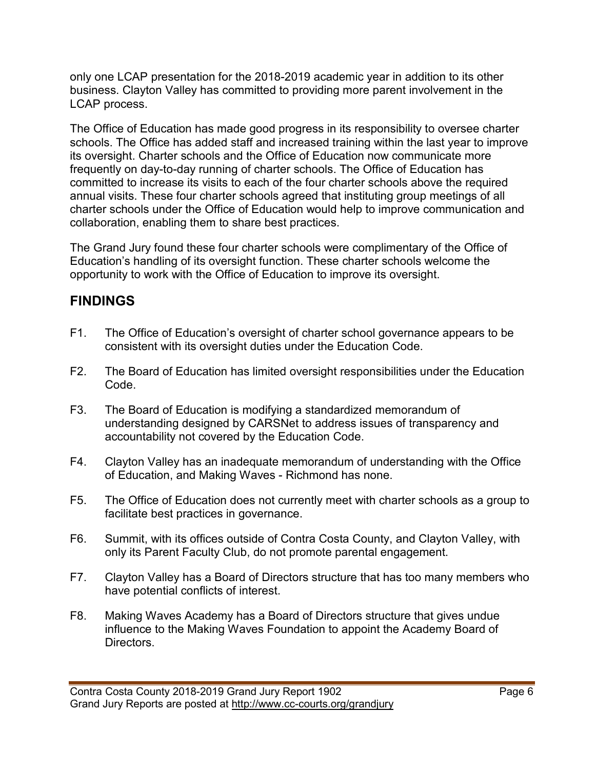only one LCAP presentation for the 2018-2019 academic year in addition to its other business. Clayton Valley has committed to providing more parent involvement in the LCAP process.

The Office of Education has made good progress in its responsibility to oversee charter schools. The Office has added staff and increased training within the last year to improve its oversight. Charter schools and the Office of Education now communicate more frequently on day-to-day running of charter schools. The Office of Education has committed to increase its visits to each of the four charter schools above the required annual visits. These four charter schools agreed that instituting group meetings of all charter schools under the Office of Education would help to improve communication and collaboration, enabling them to share best practices.

The Grand Jury found these four charter schools were complimentary of the Office of Education's handling of its oversight function. These charter schools welcome the opportunity to work with the Office of Education to improve its oversight.

# **FINDINGS**

- F1. The Office of Education's oversight of charter school governance appears to be consistent with its oversight duties under the Education Code.
- F2. The Board of Education has limited oversight responsibilities under the Education Code.
- F3. The Board of Education is modifying a standardized memorandum of understanding designed by CARSNet to address issues of transparency and accountability not covered by the Education Code.
- F4. Clayton Valley has an inadequate memorandum of understanding with the Office of Education, and Making Waves - Richmond has none.
- F5. The Office of Education does not currently meet with charter schools as a group to facilitate best practices in governance.
- F6. Summit, with its offices outside of Contra Costa County, and Clayton Valley, with only its Parent Faculty Club, do not promote parental engagement.
- F7. Clayton Valley has a Board of Directors structure that has too many members who have potential conflicts of interest.
- F8. Making Waves Academy has a Board of Directors structure that gives undue influence to the Making Waves Foundation to appoint the Academy Board of Directors.